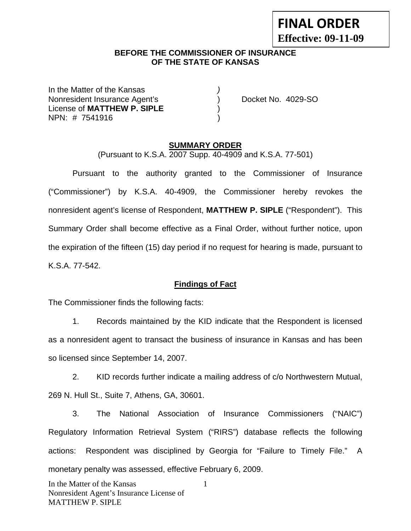|                            | <b>FINAL ORDER</b> |
|----------------------------|--------------------|
| <b>Effective: 09-11-09</b> |                    |

### **BEFORE THE COMMISSIONER OF INSURANCE OF THE STATE OF KANSAS**

In the Matter of the Kansas *)* Nonresident Insurance Agent's ) Docket No. 4029-SO License of **MATTHEW P. SIPLE** ) NPN: # 7541916 )

#### **SUMMARY ORDER**

(Pursuant to K.S.A. 2007 Supp. 40-4909 and K.S.A. 77-501)

 Pursuant to the authority granted to the Commissioner of Insurance ("Commissioner") by K.S.A. 40-4909, the Commissioner hereby revokes the nonresident agent's license of Respondent, **MATTHEW P. SIPLE** ("Respondent"). This Summary Order shall become effective as a Final Order, without further notice, upon the expiration of the fifteen (15) day period if no request for hearing is made, pursuant to K.S.A. 77-542.

### **Findings of Fact**

The Commissioner finds the following facts:

 1. Records maintained by the KID indicate that the Respondent is licensed as a nonresident agent to transact the business of insurance in Kansas and has been so licensed since September 14, 2007.

 2. KID records further indicate a mailing address of c/o Northwestern Mutual, 269 N. Hull St., Suite 7, Athens, GA, 30601.

 3. The National Association of Insurance Commissioners ("NAIC") Regulatory Information Retrieval System ("RIRS") database reflects the following actions: Respondent was disciplined by Georgia for "Failure to Timely File." A monetary penalty was assessed, effective February 6, 2009.

1

In the Matter of the Kansas Nonresident Agent's Insurance License of MATTHEW P. SIPLE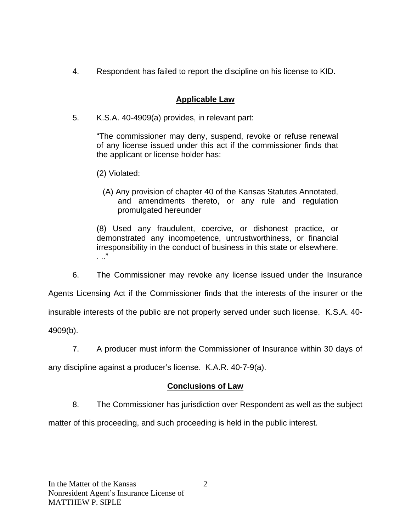4. Respondent has failed to report the discipline on his license to KID.

# **Applicable Law**

5. K.S.A. 40-4909(a) provides, in relevant part:

"The commissioner may deny, suspend, revoke or refuse renewal of any license issued under this act if the commissioner finds that the applicant or license holder has:

- (2) Violated:
	- (A) Any provision of chapter 40 of the Kansas Statutes Annotated, and amendments thereto, or any rule and regulation promulgated hereunder

(8) Used any fraudulent, coercive, or dishonest practice, or demonstrated any incompetence, untrustworthiness, or financial irresponsibility in the conduct of business in this state or elsewhere. . .."

6. The Commissioner may revoke any license issued under the Insurance

Agents Licensing Act if the Commissioner finds that the interests of the insurer or the

insurable interests of the public are not properly served under such license. K.S.A. 40-

4909(b).

7. A producer must inform the Commissioner of Insurance within 30 days of

any discipline against a producer's license. K.A.R. 40-7-9(a).

## **Conclusions of Law**

8. The Commissioner has jurisdiction over Respondent as well as the subject

matter of this proceeding, and such proceeding is held in the public interest.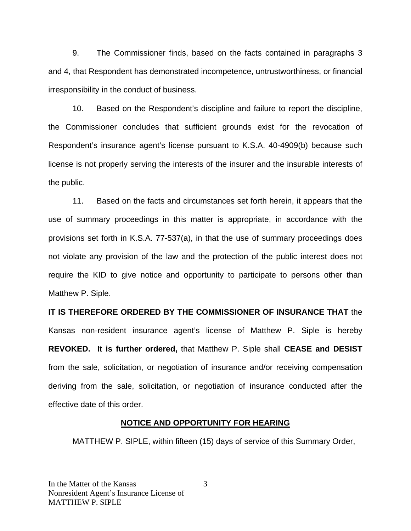9. The Commissioner finds, based on the facts contained in paragraphs 3 and 4, that Respondent has demonstrated incompetence, untrustworthiness, or financial irresponsibility in the conduct of business.

 10. Based on the Respondent's discipline and failure to report the discipline, the Commissioner concludes that sufficient grounds exist for the revocation of Respondent's insurance agent's license pursuant to K.S.A. 40-4909(b) because such license is not properly serving the interests of the insurer and the insurable interests of the public.

 11. Based on the facts and circumstances set forth herein, it appears that the use of summary proceedings in this matter is appropriate, in accordance with the provisions set forth in K.S.A. 77-537(a), in that the use of summary proceedings does not violate any provision of the law and the protection of the public interest does not require the KID to give notice and opportunity to participate to persons other than Matthew P. Siple.

**IT IS THEREFORE ORDERED BY THE COMMISSIONER OF INSURANCE THAT** the Kansas non-resident insurance agent's license of Matthew P. Siple is hereby **REVOKED. It is further ordered,** that Matthew P. Siple shall **CEASE and DESIST** from the sale, solicitation, or negotiation of insurance and/or receiving compensation deriving from the sale, solicitation, or negotiation of insurance conducted after the effective date of this order.

### **NOTICE AND OPPORTUNITY FOR HEARING**

MATTHEW P. SIPLE, within fifteen (15) days of service of this Summary Order,

3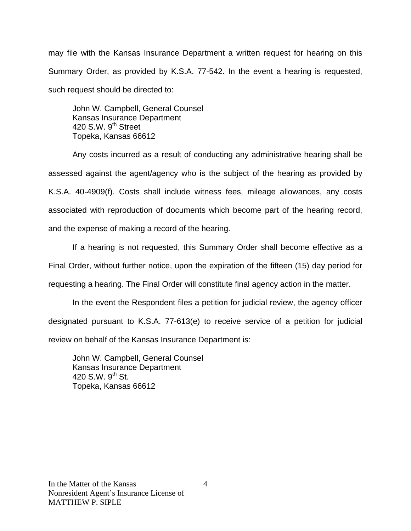may file with the Kansas Insurance Department a written request for hearing on this Summary Order, as provided by K.S.A. 77-542. In the event a hearing is requested, such request should be directed to:

John W. Campbell, General Counsel Kansas Insurance Department 420 S.W.  $9<sup>th</sup>$  Street Topeka, Kansas 66612

Any costs incurred as a result of conducting any administrative hearing shall be assessed against the agent/agency who is the subject of the hearing as provided by K.S.A. 40-4909(f). Costs shall include witness fees, mileage allowances, any costs associated with reproduction of documents which become part of the hearing record, and the expense of making a record of the hearing.

If a hearing is not requested, this Summary Order shall become effective as a Final Order, without further notice, upon the expiration of the fifteen (15) day period for requesting a hearing. The Final Order will constitute final agency action in the matter.

In the event the Respondent files a petition for judicial review, the agency officer designated pursuant to K.S.A. 77-613(e) to receive service of a petition for judicial review on behalf of the Kansas Insurance Department is:

John W. Campbell, General Counsel Kansas Insurance Department 420 S.W.  $9^{th}$  St. Topeka, Kansas 66612

4